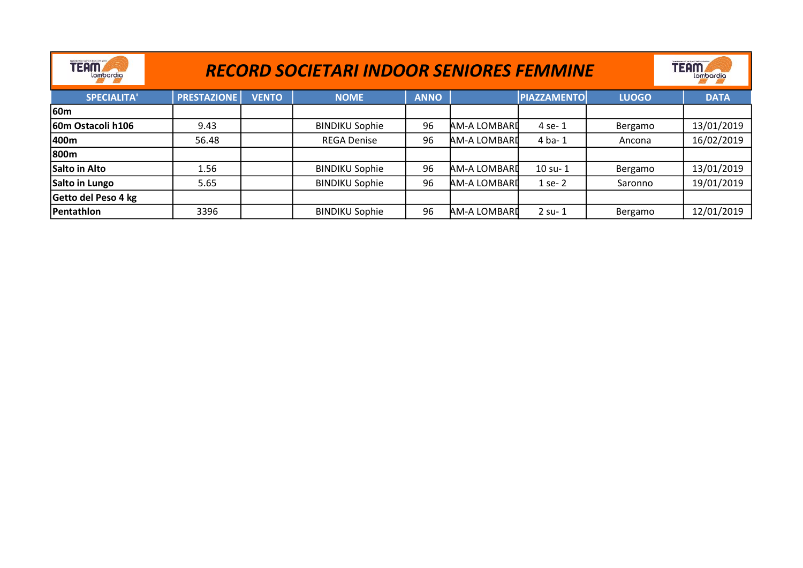| pendala kuta Concilino Chatchard, will<br>TEAM⊿<br>lombardia | <b>RECORD SOCIETARI INDOOR SENIORES FEMMINE</b> |              | constanto e Candino Gratiardinii<br><b>TEAM</b><br>lombardia |             |              |                    |              |             |
|--------------------------------------------------------------|-------------------------------------------------|--------------|--------------------------------------------------------------|-------------|--------------|--------------------|--------------|-------------|
| <b>SPECIALITA'</b>                                           | <b>PRESTAZIONE</b>                              | <b>VENTO</b> | <b>NOME</b>                                                  | <b>ANNO</b> |              | <b>PIAZZAMENTO</b> | <b>LUOGO</b> | <b>DATA</b> |
| <b>60m</b>                                                   |                                                 |              |                                                              |             |              |                    |              |             |
| 60m Ostacoli h106                                            | 9.43                                            |              | <b>BINDIKU Sophie</b>                                        | 96          | AM-A LOMBARI | 4 se-1             | Bergamo      | 13/01/2019  |
| 400m                                                         | 56.48                                           |              | <b>REGA Denise</b>                                           | 96          | AM-A LOMBARI | $4$ ba- $1$        | Ancona       | 16/02/2019  |
| 800m                                                         |                                                 |              |                                                              |             |              |                    |              |             |
| Salto in Alto                                                | 1.56                                            |              | <b>BINDIKU Sophie</b>                                        | 96          | AM-A LOMBARI | $10$ su- $1$       | Bergamo      | 13/01/2019  |
| Salto in Lungo                                               | 5.65                                            |              | <b>BINDIKU Sophie</b>                                        | 96          | AM-A LOMBARI | $1$ se- $2$        | Saronno      | 19/01/2019  |
| Getto del Peso 4 kg                                          |                                                 |              |                                                              |             |              |                    |              |             |
| Pentathlon                                                   | 3396                                            |              | <b>BINDIKU Sophie</b>                                        | 96          | AM-A LOMBARI | $2$ su- $1$        | Bergamo      | 12/01/2019  |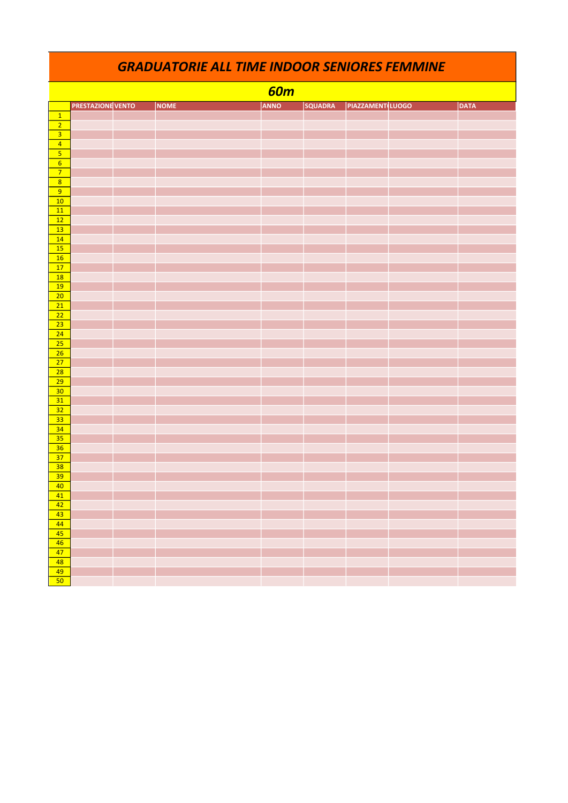|                                    | <b>GRADUATORIE ALL TIME INDOOR SENIORES FEMMINE</b> |             |            |                |                 |  |             |  |  |  |
|------------------------------------|-----------------------------------------------------|-------------|------------|----------------|-----------------|--|-------------|--|--|--|
|                                    |                                                     |             | <b>60m</b> |                |                 |  |             |  |  |  |
|                                    | <b>PRESTAZIONE VENTO</b>                            | <b>NOME</b> | ANNO       | <b>SQUADRA</b> | PIAZZAMENTLUOGO |  | <b>DATA</b> |  |  |  |
| $\boxed{1}$                        |                                                     |             |            |                |                 |  |             |  |  |  |
| $\overline{2}$                     |                                                     |             |            |                |                 |  |             |  |  |  |
| $\overline{\mathbf{3}}$            |                                                     |             |            |                |                 |  |             |  |  |  |
| $\overline{4}$                     |                                                     |             |            |                |                 |  |             |  |  |  |
|                                    |                                                     |             |            |                |                 |  |             |  |  |  |
| $6\overline{}$<br>$\overline{7}$   |                                                     |             |            |                |                 |  |             |  |  |  |
| $\overline{8}$                     |                                                     |             |            |                |                 |  |             |  |  |  |
| $\overline{9}$                     |                                                     |             |            |                |                 |  |             |  |  |  |
| $\overline{10}$                    |                                                     |             |            |                |                 |  |             |  |  |  |
| 11                                 |                                                     |             |            |                |                 |  |             |  |  |  |
| $\overline{12}$                    |                                                     |             |            |                |                 |  |             |  |  |  |
| 13                                 |                                                     |             |            |                |                 |  |             |  |  |  |
| 14                                 |                                                     |             |            |                |                 |  |             |  |  |  |
| $\overline{15}$                    |                                                     |             |            |                |                 |  |             |  |  |  |
| 16                                 |                                                     |             |            |                |                 |  |             |  |  |  |
| 17<br>18                           |                                                     |             |            |                |                 |  |             |  |  |  |
| $\overline{19}$                    |                                                     |             |            |                |                 |  |             |  |  |  |
| $\overline{20}$                    |                                                     |             |            |                |                 |  |             |  |  |  |
| $\overline{21}$                    |                                                     |             |            |                |                 |  |             |  |  |  |
| $\overline{22}$                    |                                                     |             |            |                |                 |  |             |  |  |  |
| $\overline{23}$                    |                                                     |             |            |                |                 |  |             |  |  |  |
| $\overline{24}$                    |                                                     |             |            |                |                 |  |             |  |  |  |
| 25                                 |                                                     |             |            |                |                 |  |             |  |  |  |
| $\overline{26}$                    |                                                     |             |            |                |                 |  |             |  |  |  |
| 27                                 |                                                     |             |            |                |                 |  |             |  |  |  |
| 28                                 |                                                     |             |            |                |                 |  |             |  |  |  |
| $\overline{29}$<br>$\overline{30}$ |                                                     |             |            |                |                 |  |             |  |  |  |
| 31                                 |                                                     |             |            |                |                 |  |             |  |  |  |
| $\overline{32}$                    |                                                     |             |            |                |                 |  |             |  |  |  |
| $\overline{33}$                    |                                                     |             |            |                |                 |  |             |  |  |  |
| 34                                 |                                                     |             |            |                |                 |  |             |  |  |  |
| $\overline{35}$                    |                                                     |             |            |                |                 |  |             |  |  |  |
| $\overline{36}$                    |                                                     |             |            |                |                 |  |             |  |  |  |
| $\overline{37}$                    |                                                     |             |            |                |                 |  |             |  |  |  |
| $\overline{38}$                    |                                                     |             |            |                |                 |  |             |  |  |  |
| 39                                 |                                                     |             |            |                |                 |  |             |  |  |  |
| 40 <sup>°</sup>                    |                                                     |             |            |                |                 |  |             |  |  |  |
| 41                                 |                                                     |             |            |                |                 |  |             |  |  |  |
| 42<br>43                           |                                                     |             |            |                |                 |  |             |  |  |  |
| 44                                 |                                                     |             |            |                |                 |  |             |  |  |  |
| 45                                 |                                                     |             |            |                |                 |  |             |  |  |  |
| 46                                 |                                                     |             |            |                |                 |  |             |  |  |  |
| $\overline{47}$                    |                                                     |             |            |                |                 |  |             |  |  |  |
| 48                                 |                                                     |             |            |                |                 |  |             |  |  |  |
| 49                                 |                                                     |             |            |                |                 |  |             |  |  |  |
| 50                                 |                                                     |             |            |                |                 |  |             |  |  |  |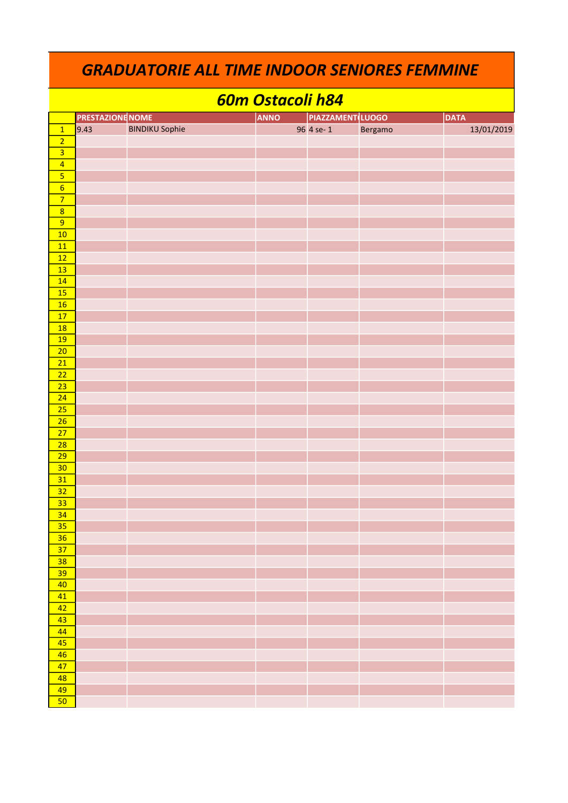|                         | <b>GRADUATORIE ALL TIME INDOOR SENIORES FEMMINE</b> |                       |                  |                         |             |            |  |  |  |
|-------------------------|-----------------------------------------------------|-----------------------|------------------|-------------------------|-------------|------------|--|--|--|
|                         |                                                     |                       | 60m Ostacoli h84 |                         |             |            |  |  |  |
|                         | <b>PRESTAZIONE NOME</b>                             |                       | <b>ANNO</b>      | <b>PIAZZAMENT LUOGO</b> | <b>DATA</b> |            |  |  |  |
| $\overline{1}$          | 9.43                                                | <b>BINDIKU Sophie</b> |                  | 96 4 se-1               | Bergamo     | 13/01/2019 |  |  |  |
| $\overline{2}$          |                                                     |                       |                  |                         |             |            |  |  |  |
| $\overline{\mathbf{3}}$ |                                                     |                       |                  |                         |             |            |  |  |  |
|                         |                                                     |                       |                  |                         |             |            |  |  |  |
| $\overline{4}$          |                                                     |                       |                  |                         |             |            |  |  |  |
| $\overline{\mathbf{5}}$ |                                                     |                       |                  |                         |             |            |  |  |  |
| $6\overline{6}$         |                                                     |                       |                  |                         |             |            |  |  |  |
| $\overline{7}$          |                                                     |                       |                  |                         |             |            |  |  |  |
| $\overline{8}$          |                                                     |                       |                  |                         |             |            |  |  |  |
| $\overline{9}$          |                                                     |                       |                  |                         |             |            |  |  |  |
| 10                      |                                                     |                       |                  |                         |             |            |  |  |  |
| 11                      |                                                     |                       |                  |                         |             |            |  |  |  |
| 12                      |                                                     |                       |                  |                         |             |            |  |  |  |
| 13                      |                                                     |                       |                  |                         |             |            |  |  |  |
| 14                      |                                                     |                       |                  |                         |             |            |  |  |  |
| 15                      |                                                     |                       |                  |                         |             |            |  |  |  |
| 16                      |                                                     |                       |                  |                         |             |            |  |  |  |
| 17                      |                                                     |                       |                  |                         |             |            |  |  |  |
| 18                      |                                                     |                       |                  |                         |             |            |  |  |  |
| 19                      |                                                     |                       |                  |                         |             |            |  |  |  |
| 20                      |                                                     |                       |                  |                         |             |            |  |  |  |
| 21                      |                                                     |                       |                  |                         |             |            |  |  |  |
| 22                      |                                                     |                       |                  |                         |             |            |  |  |  |
| 23                      |                                                     |                       |                  |                         |             |            |  |  |  |
| 24                      |                                                     |                       |                  |                         |             |            |  |  |  |
| 25                      |                                                     |                       |                  |                         |             |            |  |  |  |
| 26                      |                                                     |                       |                  |                         |             |            |  |  |  |
| 27                      |                                                     |                       |                  |                         |             |            |  |  |  |
| 28                      |                                                     |                       |                  |                         |             |            |  |  |  |
| 29                      |                                                     |                       |                  |                         |             |            |  |  |  |
|                         |                                                     |                       |                  |                         |             |            |  |  |  |
| 30                      |                                                     |                       |                  |                         |             |            |  |  |  |
| 31                      |                                                     |                       |                  |                         |             |            |  |  |  |
| 32                      |                                                     |                       |                  |                         |             |            |  |  |  |
| 33                      |                                                     |                       |                  |                         |             |            |  |  |  |
| 34                      |                                                     |                       |                  |                         |             |            |  |  |  |
| 35                      |                                                     |                       |                  |                         |             |            |  |  |  |
| 36                      |                                                     |                       |                  |                         |             |            |  |  |  |
| 37                      |                                                     |                       |                  |                         |             |            |  |  |  |
| 38                      |                                                     |                       |                  |                         |             |            |  |  |  |
| 39                      |                                                     |                       |                  |                         |             |            |  |  |  |
| 40                      |                                                     |                       |                  |                         |             |            |  |  |  |
| 41                      |                                                     |                       |                  |                         |             |            |  |  |  |
| 42                      |                                                     |                       |                  |                         |             |            |  |  |  |
| 43                      |                                                     |                       |                  |                         |             |            |  |  |  |
| 44                      |                                                     |                       |                  |                         |             |            |  |  |  |
| 45                      |                                                     |                       |                  |                         |             |            |  |  |  |
| 46                      |                                                     |                       |                  |                         |             |            |  |  |  |
| 47                      |                                                     |                       |                  |                         |             |            |  |  |  |
| 48                      |                                                     |                       |                  |                         |             |            |  |  |  |
| 49                      |                                                     |                       |                  |                         |             |            |  |  |  |
| 50                      |                                                     |                       |                  |                         |             |            |  |  |  |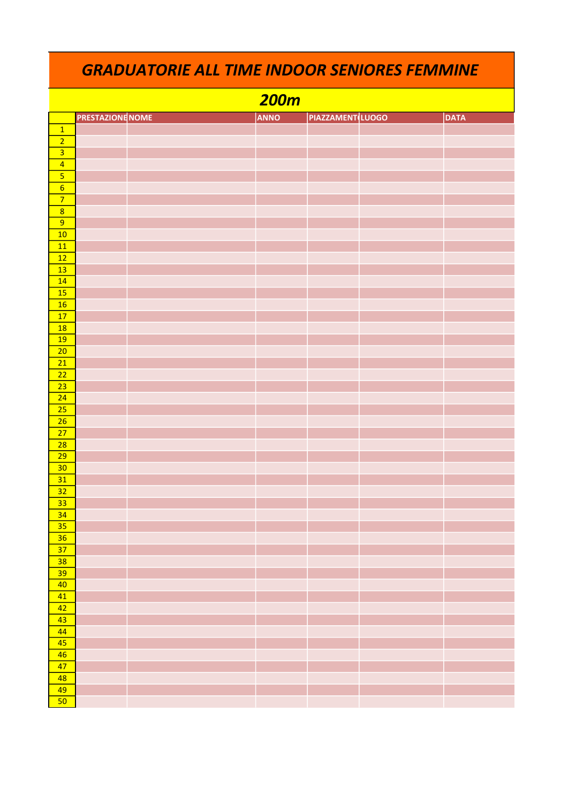|                         | <b>GRADUATORIE ALL TIME INDOOR SENIORES FEMMINE</b> |  |             |                        |  |             |  |  |  |  |
|-------------------------|-----------------------------------------------------|--|-------------|------------------------|--|-------------|--|--|--|--|
|                         |                                                     |  | <b>200m</b> |                        |  |             |  |  |  |  |
|                         | <b>PRESTAZIONE NOME</b>                             |  | <b>ANNO</b> | <b>PIAZZAMENTLUOGO</b> |  | <b>DATA</b> |  |  |  |  |
| $\overline{1}$          |                                                     |  |             |                        |  |             |  |  |  |  |
| $\overline{2}$          |                                                     |  |             |                        |  |             |  |  |  |  |
| $\overline{3}$          |                                                     |  |             |                        |  |             |  |  |  |  |
| $\overline{4}$          |                                                     |  |             |                        |  |             |  |  |  |  |
| $\overline{\mathbf{5}}$ |                                                     |  |             |                        |  |             |  |  |  |  |
| $6\overline{6}$         |                                                     |  |             |                        |  |             |  |  |  |  |
| $\overline{7}$          |                                                     |  |             |                        |  |             |  |  |  |  |
| $\boldsymbol{8}$        |                                                     |  |             |                        |  |             |  |  |  |  |
| 9                       |                                                     |  |             |                        |  |             |  |  |  |  |
| 10                      |                                                     |  |             |                        |  |             |  |  |  |  |
| 11                      |                                                     |  |             |                        |  |             |  |  |  |  |
| 12                      |                                                     |  |             |                        |  |             |  |  |  |  |
| 13                      |                                                     |  |             |                        |  |             |  |  |  |  |
| 14                      |                                                     |  |             |                        |  |             |  |  |  |  |
| 15                      |                                                     |  |             |                        |  |             |  |  |  |  |
| 16                      |                                                     |  |             |                        |  |             |  |  |  |  |
| 17                      |                                                     |  |             |                        |  |             |  |  |  |  |
| 18                      |                                                     |  |             |                        |  |             |  |  |  |  |
| 19                      |                                                     |  |             |                        |  |             |  |  |  |  |
| 20                      |                                                     |  |             |                        |  |             |  |  |  |  |
| 21                      |                                                     |  |             |                        |  |             |  |  |  |  |
| 22                      |                                                     |  |             |                        |  |             |  |  |  |  |
| 23                      |                                                     |  |             |                        |  |             |  |  |  |  |
| 24                      |                                                     |  |             |                        |  |             |  |  |  |  |
| 25                      |                                                     |  |             |                        |  |             |  |  |  |  |
| 26                      |                                                     |  |             |                        |  |             |  |  |  |  |
| 27                      |                                                     |  |             |                        |  |             |  |  |  |  |
| 28                      |                                                     |  |             |                        |  |             |  |  |  |  |
| 29                      |                                                     |  |             |                        |  |             |  |  |  |  |
| 30                      |                                                     |  |             |                        |  |             |  |  |  |  |
| 31                      |                                                     |  |             |                        |  |             |  |  |  |  |
| 32                      |                                                     |  |             |                        |  |             |  |  |  |  |
| 33                      |                                                     |  |             |                        |  |             |  |  |  |  |

| $-36$                                                                                           |  |  |  |
|-------------------------------------------------------------------------------------------------|--|--|--|
| $\sqrt{37}$                                                                                     |  |  |  |
| $\overline{38}$                                                                                 |  |  |  |
|                                                                                                 |  |  |  |
| $\begin{array}{ c } \hline 39 \\ \hline 40 \\ \hline \end{array}$                               |  |  |  |
| $\overline{41}$                                                                                 |  |  |  |
| $\begin{array}{r} \hline 42 \\ \hline 43 \\ \hline 44 \end{array}$                              |  |  |  |
|                                                                                                 |  |  |  |
|                                                                                                 |  |  |  |
|                                                                                                 |  |  |  |
| $\begin{array}{r} 45 \\ \hline 46 \\ \hline 47 \\ \hline 48 \\ \hline 49 \\ \hline \end{array}$ |  |  |  |
|                                                                                                 |  |  |  |
|                                                                                                 |  |  |  |
|                                                                                                 |  |  |  |
| 50                                                                                              |  |  |  |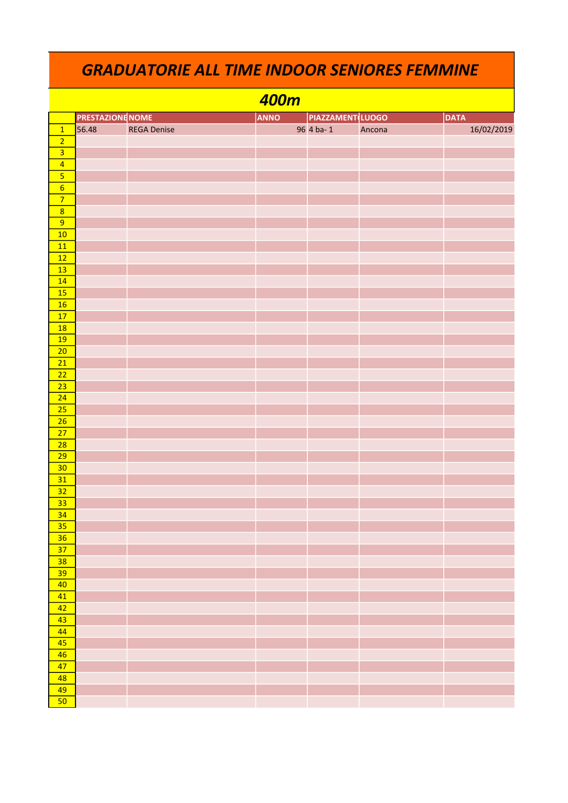|                         | 400m                    |                    |             |                         |        |             |  |  |  |  |
|-------------------------|-------------------------|--------------------|-------------|-------------------------|--------|-------------|--|--|--|--|
|                         | <b>PRESTAZIONE NOME</b> |                    | <b>ANNO</b> | <b>PIAZZAMENT</b> LUOGO |        | <b>DATA</b> |  |  |  |  |
| $\overline{1}$          | 56.48                   | <b>REGA Denise</b> |             | 96 4 ba-1               | Ancona | 16/02/2019  |  |  |  |  |
| $\overline{2}$          |                         |                    |             |                         |        |             |  |  |  |  |
|                         |                         |                    |             |                         |        |             |  |  |  |  |
| $\overline{4}$          |                         |                    |             |                         |        |             |  |  |  |  |
| $\overline{\mathbf{5}}$ |                         |                    |             |                         |        |             |  |  |  |  |
| $\overline{6}$          |                         |                    |             |                         |        |             |  |  |  |  |
| $\overline{7}$          |                         |                    |             |                         |        |             |  |  |  |  |
| $\overline{8}$          |                         |                    |             |                         |        |             |  |  |  |  |
| $\overline{9}$          |                         |                    |             |                         |        |             |  |  |  |  |
| 10                      |                         |                    |             |                         |        |             |  |  |  |  |
| 11                      |                         |                    |             |                         |        |             |  |  |  |  |
| $\overline{12}$         |                         |                    |             |                         |        |             |  |  |  |  |
| 13                      |                         |                    |             |                         |        |             |  |  |  |  |
| 14                      |                         |                    |             |                         |        |             |  |  |  |  |
| 15                      |                         |                    |             |                         |        |             |  |  |  |  |
| 16                      |                         |                    |             |                         |        |             |  |  |  |  |
| 17                      |                         |                    |             |                         |        |             |  |  |  |  |
| <b>18</b>               |                         |                    |             |                         |        |             |  |  |  |  |
| <b>19</b>               |                         |                    |             |                         |        |             |  |  |  |  |
| $\overline{20}$         |                         |                    |             |                         |        |             |  |  |  |  |
| $\overline{21}$         |                         |                    |             |                         |        |             |  |  |  |  |
| $\overline{22}$         |                         |                    |             |                         |        |             |  |  |  |  |
| $\overline{23}$         |                         |                    |             |                         |        |             |  |  |  |  |
| $\overline{24}$         |                         |                    |             |                         |        |             |  |  |  |  |
| $\overline{25}$         |                         |                    |             |                         |        |             |  |  |  |  |
| $\overline{26}$         |                         |                    |             |                         |        |             |  |  |  |  |
| 27                      |                         |                    |             |                         |        |             |  |  |  |  |
| 28                      |                         |                    |             |                         |        |             |  |  |  |  |
| $\overline{29}$         |                         |                    |             |                         |        |             |  |  |  |  |
| 30                      |                         |                    |             |                         |        |             |  |  |  |  |
| 31                      |                         |                    |             |                         |        |             |  |  |  |  |
| $\overline{32}$         |                         |                    |             |                         |        |             |  |  |  |  |
| $\overline{33}$         |                         |                    |             |                         |        |             |  |  |  |  |
| $\overline{34}$         |                         |                    |             |                         |        |             |  |  |  |  |
| 35                      |                         |                    |             |                         |        |             |  |  |  |  |
| 36                      |                         |                    |             |                         |        |             |  |  |  |  |
| $\overline{37}$         |                         |                    |             |                         |        |             |  |  |  |  |
| 38                      |                         |                    |             |                         |        |             |  |  |  |  |
| 39                      |                         |                    |             |                         |        |             |  |  |  |  |
| 40                      |                         |                    |             |                         |        |             |  |  |  |  |
|                         |                         |                    |             |                         |        |             |  |  |  |  |
| 41                      |                         |                    |             |                         |        |             |  |  |  |  |
| 42                      |                         |                    |             |                         |        |             |  |  |  |  |
| 43                      |                         |                    |             |                         |        |             |  |  |  |  |
| 44                      |                         |                    |             |                         |        |             |  |  |  |  |
| 45                      |                         |                    |             |                         |        |             |  |  |  |  |
| 46                      |                         |                    |             |                         |        |             |  |  |  |  |
| 47                      |                         |                    |             |                         |        |             |  |  |  |  |
| 48                      |                         |                    |             |                         |        |             |  |  |  |  |
| 49                      |                         |                    |             |                         |        |             |  |  |  |  |
| 50                      |                         |                    |             |                         |        |             |  |  |  |  |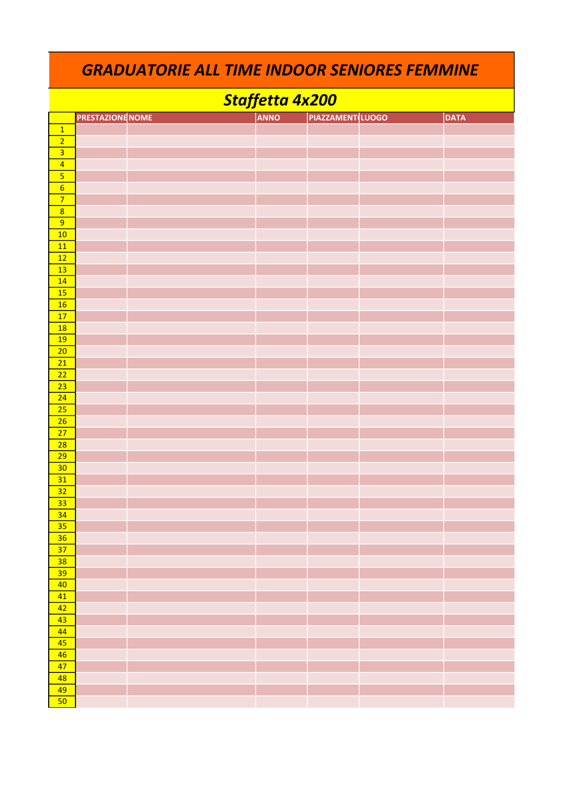|                           | <b>GRADUATORIE ALL TIME INDOOR SENIORES FEMMINE</b> |  |  |                 |                         |  |             |  |  |  |
|---------------------------|-----------------------------------------------------|--|--|-----------------|-------------------------|--|-------------|--|--|--|
|                           |                                                     |  |  | Staffetta 4x200 |                         |  |             |  |  |  |
|                           | <b>PRESTAZIONE NOME</b>                             |  |  | <b>ANNO</b>     | <b>PIAZZAMENT LUOGO</b> |  | <b>DATA</b> |  |  |  |
| $\overline{1}$            |                                                     |  |  |                 |                         |  |             |  |  |  |
| $\overline{2}$            |                                                     |  |  |                 |                         |  |             |  |  |  |
| $\overline{\overline{3}}$ |                                                     |  |  |                 |                         |  |             |  |  |  |
| $\overline{4}$            |                                                     |  |  |                 |                         |  |             |  |  |  |
|                           |                                                     |  |  |                 |                         |  |             |  |  |  |
| $\overline{6}$            |                                                     |  |  |                 |                         |  |             |  |  |  |
| $\overline{7}$            |                                                     |  |  |                 |                         |  |             |  |  |  |
| $\overline{8}$            |                                                     |  |  |                 |                         |  |             |  |  |  |
| 9                         |                                                     |  |  |                 |                         |  |             |  |  |  |
| 10                        |                                                     |  |  |                 |                         |  |             |  |  |  |
| 11                        |                                                     |  |  |                 |                         |  |             |  |  |  |
| 12                        |                                                     |  |  |                 |                         |  |             |  |  |  |
| 13                        |                                                     |  |  |                 |                         |  |             |  |  |  |
| 14<br>15                  |                                                     |  |  |                 |                         |  |             |  |  |  |
| 16                        |                                                     |  |  |                 |                         |  |             |  |  |  |
| 17                        |                                                     |  |  |                 |                         |  |             |  |  |  |
| 18                        |                                                     |  |  |                 |                         |  |             |  |  |  |
| 19                        |                                                     |  |  |                 |                         |  |             |  |  |  |
| 20                        |                                                     |  |  |                 |                         |  |             |  |  |  |
| 21                        |                                                     |  |  |                 |                         |  |             |  |  |  |
| 22                        |                                                     |  |  |                 |                         |  |             |  |  |  |
| 23                        |                                                     |  |  |                 |                         |  |             |  |  |  |
| 24                        |                                                     |  |  |                 |                         |  |             |  |  |  |
| 25                        |                                                     |  |  |                 |                         |  |             |  |  |  |
| 26                        |                                                     |  |  |                 |                         |  |             |  |  |  |
| 27                        |                                                     |  |  |                 |                         |  |             |  |  |  |
| 28                        |                                                     |  |  |                 |                         |  |             |  |  |  |
| 29                        |                                                     |  |  |                 |                         |  |             |  |  |  |
| 30<br>31                  |                                                     |  |  |                 |                         |  |             |  |  |  |
| 32                        |                                                     |  |  |                 |                         |  |             |  |  |  |
| 33                        |                                                     |  |  |                 |                         |  |             |  |  |  |
| 34                        |                                                     |  |  |                 |                         |  |             |  |  |  |
| 35                        |                                                     |  |  |                 |                         |  |             |  |  |  |
| 36                        |                                                     |  |  |                 |                         |  |             |  |  |  |
| 37                        |                                                     |  |  |                 |                         |  |             |  |  |  |
| 38                        |                                                     |  |  |                 |                         |  |             |  |  |  |
| 39                        |                                                     |  |  |                 |                         |  |             |  |  |  |
| 40                        |                                                     |  |  |                 |                         |  |             |  |  |  |
| 41                        |                                                     |  |  |                 |                         |  |             |  |  |  |
| 42                        |                                                     |  |  |                 |                         |  |             |  |  |  |
| 43                        |                                                     |  |  |                 |                         |  |             |  |  |  |
| 44                        |                                                     |  |  |                 |                         |  |             |  |  |  |
| 45                        |                                                     |  |  |                 |                         |  |             |  |  |  |
| 46<br>47                  |                                                     |  |  |                 |                         |  |             |  |  |  |
| 48                        |                                                     |  |  |                 |                         |  |             |  |  |  |
| 49                        |                                                     |  |  |                 |                         |  |             |  |  |  |
| 50                        |                                                     |  |  |                 |                         |  |             |  |  |  |
|                           |                                                     |  |  |                 |                         |  |             |  |  |  |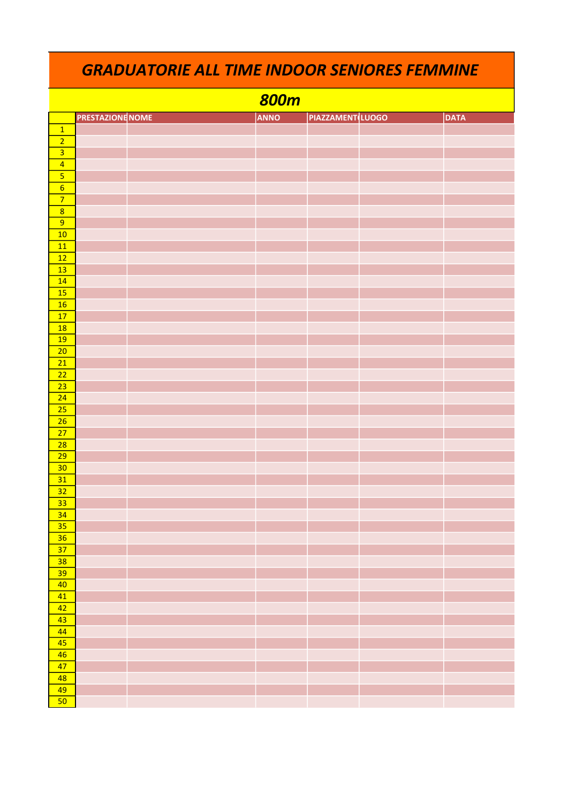|                 | <b>800m</b>             |  |             |                         |  |             |  |  |  |  |  |
|-----------------|-------------------------|--|-------------|-------------------------|--|-------------|--|--|--|--|--|
|                 | <b>PRESTAZIONE NOME</b> |  | <b>ANNO</b> | <b>PIAZZAMENT</b> LUOGO |  | <b>DATA</b> |  |  |  |  |  |
|                 |                         |  |             |                         |  |             |  |  |  |  |  |
| $\frac{1}{2}$   |                         |  |             |                         |  |             |  |  |  |  |  |
|                 |                         |  |             |                         |  |             |  |  |  |  |  |
| $\frac{4}{5}$   |                         |  |             |                         |  |             |  |  |  |  |  |
|                 |                         |  |             |                         |  |             |  |  |  |  |  |
| $\overline{6}$  |                         |  |             |                         |  |             |  |  |  |  |  |
| $\overline{7}$  |                         |  |             |                         |  |             |  |  |  |  |  |
| $\overline{8}$  |                         |  |             |                         |  |             |  |  |  |  |  |
| $\overline{9}$  |                         |  |             |                         |  |             |  |  |  |  |  |
| 10              |                         |  |             |                         |  |             |  |  |  |  |  |
| 11              |                         |  |             |                         |  |             |  |  |  |  |  |
| $\overline{12}$ |                         |  |             |                         |  |             |  |  |  |  |  |
| 13              |                         |  |             |                         |  |             |  |  |  |  |  |
| 14              |                         |  |             |                         |  |             |  |  |  |  |  |
| $\overline{15}$ |                         |  |             |                         |  |             |  |  |  |  |  |
| 16              |                         |  |             |                         |  |             |  |  |  |  |  |
| $\overline{17}$ |                         |  |             |                         |  |             |  |  |  |  |  |
| 18              |                         |  |             |                         |  |             |  |  |  |  |  |
| <b>19</b>       |                         |  |             |                         |  |             |  |  |  |  |  |
| $\overline{20}$ |                         |  |             |                         |  |             |  |  |  |  |  |
| $\overline{21}$ |                         |  |             |                         |  |             |  |  |  |  |  |
| $\overline{22}$ |                         |  |             |                         |  |             |  |  |  |  |  |
| $\overline{23}$ |                         |  |             |                         |  |             |  |  |  |  |  |
| $\overline{24}$ |                         |  |             |                         |  |             |  |  |  |  |  |
| 25              |                         |  |             |                         |  |             |  |  |  |  |  |
| $\overline{26}$ |                         |  |             |                         |  |             |  |  |  |  |  |
| $\overline{27}$ |                         |  |             |                         |  |             |  |  |  |  |  |
| $\overline{28}$ |                         |  |             |                         |  |             |  |  |  |  |  |
| $\overline{29}$ |                         |  |             |                         |  |             |  |  |  |  |  |
| 30              |                         |  |             |                         |  |             |  |  |  |  |  |
| 31              |                         |  |             |                         |  |             |  |  |  |  |  |
| 32              |                         |  |             |                         |  |             |  |  |  |  |  |
| $\overline{33}$ |                         |  |             |                         |  |             |  |  |  |  |  |
| $\overline{34}$ |                         |  |             |                         |  |             |  |  |  |  |  |
| $\overline{35}$ |                         |  |             |                         |  |             |  |  |  |  |  |
| 36              |                         |  |             |                         |  |             |  |  |  |  |  |
| $\overline{37}$ |                         |  |             |                         |  |             |  |  |  |  |  |
| 38              |                         |  |             |                         |  |             |  |  |  |  |  |
| 39<br>40        |                         |  |             |                         |  |             |  |  |  |  |  |
|                 |                         |  |             |                         |  |             |  |  |  |  |  |
| 41              |                         |  |             |                         |  |             |  |  |  |  |  |
| 42<br>43        |                         |  |             |                         |  |             |  |  |  |  |  |
| 44              |                         |  |             |                         |  |             |  |  |  |  |  |
| 45              |                         |  |             |                         |  |             |  |  |  |  |  |
| $\overline{46}$ |                         |  |             |                         |  |             |  |  |  |  |  |
| 47              |                         |  |             |                         |  |             |  |  |  |  |  |
| 48              |                         |  |             |                         |  |             |  |  |  |  |  |
| 49              |                         |  |             |                         |  |             |  |  |  |  |  |
| $\overline{50}$ |                         |  |             |                         |  |             |  |  |  |  |  |
|                 |                         |  |             |                         |  |             |  |  |  |  |  |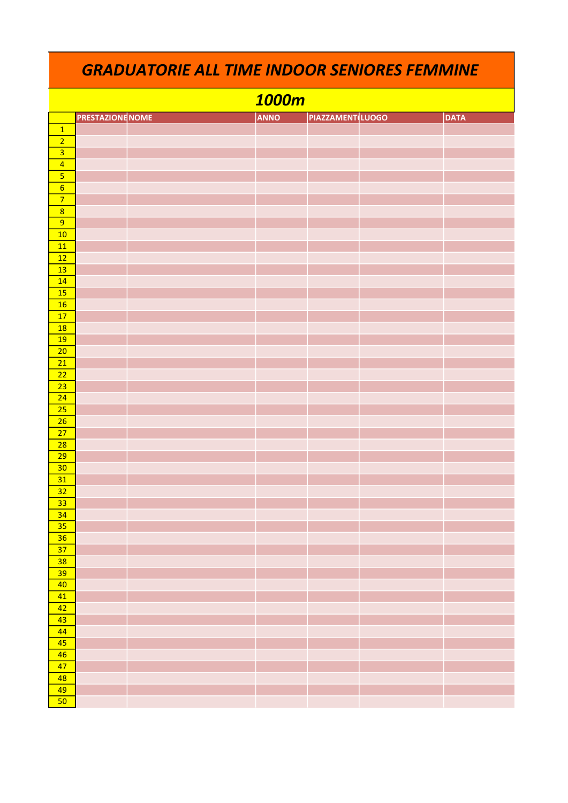|                         |                         | 1000m       |                        |             |
|-------------------------|-------------------------|-------------|------------------------|-------------|
|                         | <b>PRESTAZIONE NOME</b> | <b>ANNO</b> | <b>PIAZZAMENTLUOGO</b> | <b>DATA</b> |
| $\overline{1}$          |                         |             |                        |             |
| $\overline{2}$          |                         |             |                        |             |
| $\overline{\mathbf{3}}$ |                         |             |                        |             |
| $\overline{4}$          |                         |             |                        |             |
| $\overline{\mathbf{5}}$ |                         |             |                        |             |
| $6\overline{6}$         |                         |             |                        |             |
| $\overline{7}$          |                         |             |                        |             |
| $\overline{8}$<br>9     |                         |             |                        |             |
| 10                      |                         |             |                        |             |
| 11                      |                         |             |                        |             |
| 12                      |                         |             |                        |             |
| 13                      |                         |             |                        |             |
| 14                      |                         |             |                        |             |
| 15                      |                         |             |                        |             |
| 16                      |                         |             |                        |             |
| 17                      |                         |             |                        |             |
| <b>18</b>               |                         |             |                        |             |
| 19                      |                         |             |                        |             |
| 20                      |                         |             |                        |             |
| 21<br>22                |                         |             |                        |             |
| 23                      |                         |             |                        |             |
| 24                      |                         |             |                        |             |
| 25                      |                         |             |                        |             |
| 26                      |                         |             |                        |             |
| 27                      |                         |             |                        |             |
| 28                      |                         |             |                        |             |
| 29                      |                         |             |                        |             |
| 30                      |                         |             |                        |             |
| 31                      |                         |             |                        |             |
| 32                      |                         |             |                        |             |
| 33                      |                         |             |                        |             |
| 34                      |                         |             |                        |             |
| 35                      |                         |             |                        |             |
| 36<br>37                |                         |             |                        |             |
| 38                      |                         |             |                        |             |
| 39                      |                         |             |                        |             |
| 40                      |                         |             |                        |             |
| 41                      |                         |             |                        |             |
| 42                      |                         |             |                        |             |
| 43                      |                         |             |                        |             |
| 44                      |                         |             |                        |             |
| 45                      |                         |             |                        |             |
| 46                      |                         |             |                        |             |
| 47                      |                         |             |                        |             |
| 48                      |                         |             |                        |             |
| 49                      |                         |             |                        |             |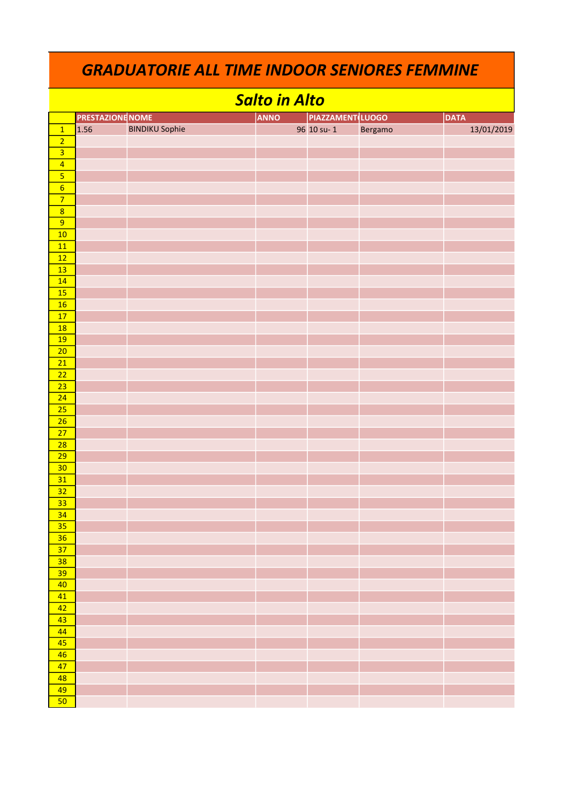|                         | <b>GRADUATORIE ALL TIME INDOOR SENIORES FEMMINE</b> |                       |                      |                        |         |             |  |  |  |
|-------------------------|-----------------------------------------------------|-----------------------|----------------------|------------------------|---------|-------------|--|--|--|
|                         |                                                     |                       | <b>Salto in Alto</b> |                        |         |             |  |  |  |
|                         | <b>PRESTAZIONE</b> NOME                             |                       | <b>ANNO</b>          | <b>PIAZZAMENTLUOGO</b> |         | <b>DATA</b> |  |  |  |
| $\overline{1}$          | 1.56                                                | <b>BINDIKU Sophie</b> |                      | 96 10 su-1             | Bergamo | 13/01/2019  |  |  |  |
| $\overline{2}$          |                                                     |                       |                      |                        |         |             |  |  |  |
| $\overline{3}$          |                                                     |                       |                      |                        |         |             |  |  |  |
| $\overline{4}$          |                                                     |                       |                      |                        |         |             |  |  |  |
| $\overline{\mathbf{5}}$ |                                                     |                       |                      |                        |         |             |  |  |  |
| $6\overline{6}$         |                                                     |                       |                      |                        |         |             |  |  |  |
| $\overline{7}$          |                                                     |                       |                      |                        |         |             |  |  |  |
| $\overline{8}$          |                                                     |                       |                      |                        |         |             |  |  |  |
| 9                       |                                                     |                       |                      |                        |         |             |  |  |  |
| 10                      |                                                     |                       |                      |                        |         |             |  |  |  |
| 11                      |                                                     |                       |                      |                        |         |             |  |  |  |
| 12                      |                                                     |                       |                      |                        |         |             |  |  |  |
| 13                      |                                                     |                       |                      |                        |         |             |  |  |  |
| 14                      |                                                     |                       |                      |                        |         |             |  |  |  |
| 15                      |                                                     |                       |                      |                        |         |             |  |  |  |
| 16                      |                                                     |                       |                      |                        |         |             |  |  |  |
| 17                      |                                                     |                       |                      |                        |         |             |  |  |  |
| <b>18</b>               |                                                     |                       |                      |                        |         |             |  |  |  |
| 19                      |                                                     |                       |                      |                        |         |             |  |  |  |
|                         |                                                     |                       |                      |                        |         |             |  |  |  |
| 20<br>21                |                                                     |                       |                      |                        |         |             |  |  |  |
|                         |                                                     |                       |                      |                        |         |             |  |  |  |
| 22                      |                                                     |                       |                      |                        |         |             |  |  |  |
| 23                      |                                                     |                       |                      |                        |         |             |  |  |  |
| 24                      |                                                     |                       |                      |                        |         |             |  |  |  |
| 25                      |                                                     |                       |                      |                        |         |             |  |  |  |
| 26                      |                                                     |                       |                      |                        |         |             |  |  |  |
| 27                      |                                                     |                       |                      |                        |         |             |  |  |  |
| 28                      |                                                     |                       |                      |                        |         |             |  |  |  |
| 29                      |                                                     |                       |                      |                        |         |             |  |  |  |
| 30                      |                                                     |                       |                      |                        |         |             |  |  |  |
| 31                      |                                                     |                       |                      |                        |         |             |  |  |  |
| 32                      |                                                     |                       |                      |                        |         |             |  |  |  |
| 33                      |                                                     |                       |                      |                        |         |             |  |  |  |
| 34                      |                                                     |                       |                      |                        |         |             |  |  |  |
| 35                      |                                                     |                       |                      |                        |         |             |  |  |  |
| 36                      |                                                     |                       |                      |                        |         |             |  |  |  |
| 37                      |                                                     |                       |                      |                        |         |             |  |  |  |
| 38                      |                                                     |                       |                      |                        |         |             |  |  |  |
| 39                      |                                                     |                       |                      |                        |         |             |  |  |  |
| 40                      |                                                     |                       |                      |                        |         |             |  |  |  |
| 41                      |                                                     |                       |                      |                        |         |             |  |  |  |
| 42                      |                                                     |                       |                      |                        |         |             |  |  |  |
| 43                      |                                                     |                       |                      |                        |         |             |  |  |  |
| 44                      |                                                     |                       |                      |                        |         |             |  |  |  |
| 45                      |                                                     |                       |                      |                        |         |             |  |  |  |
| 46                      |                                                     |                       |                      |                        |         |             |  |  |  |
| 47                      |                                                     |                       |                      |                        |         |             |  |  |  |
| 48                      |                                                     |                       |                      |                        |         |             |  |  |  |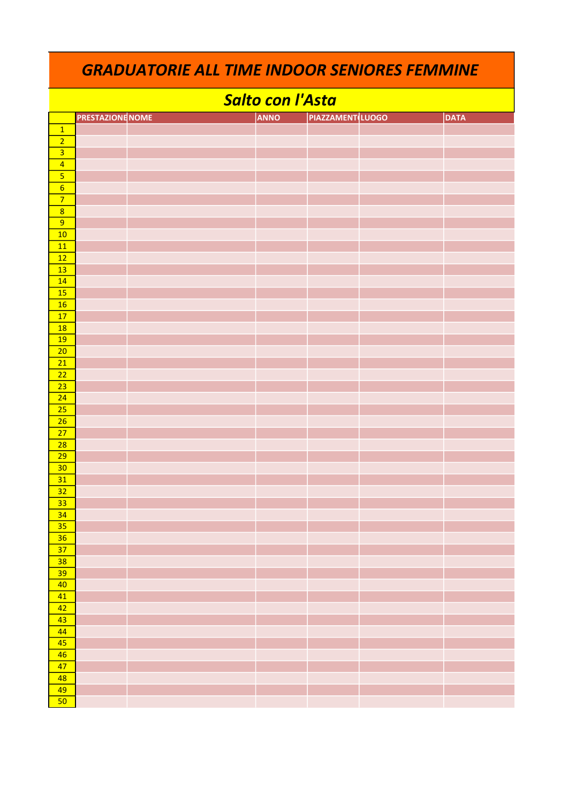| <b>GRADUATORIE ALL TIME INDOOR SENIORES FEMMINE</b> |                         |  |  |                         |                         |  |             |  |  |
|-----------------------------------------------------|-------------------------|--|--|-------------------------|-------------------------|--|-------------|--|--|
|                                                     |                         |  |  | <b>Salto con l'Asta</b> |                         |  |             |  |  |
|                                                     | <b>PRESTAZIONE NOME</b> |  |  | <b>ANNO</b>             | <b>PIAZZAMENT LUOGO</b> |  | <b>DATA</b> |  |  |
| $\mathbf{1}$                                        |                         |  |  |                         |                         |  |             |  |  |
| $\overline{2}$                                      |                         |  |  |                         |                         |  |             |  |  |
| $\overline{\overline{\mathbf{3}}}$                  |                         |  |  |                         |                         |  |             |  |  |
| $\overline{4}$                                      |                         |  |  |                         |                         |  |             |  |  |
|                                                     |                         |  |  |                         |                         |  |             |  |  |
| $\overline{6}$                                      |                         |  |  |                         |                         |  |             |  |  |
| $\overline{7}$                                      |                         |  |  |                         |                         |  |             |  |  |
| $\overline{8}$                                      |                         |  |  |                         |                         |  |             |  |  |
| $\overline{9}$                                      |                         |  |  |                         |                         |  |             |  |  |
| 10                                                  |                         |  |  |                         |                         |  |             |  |  |
| 11                                                  |                         |  |  |                         |                         |  |             |  |  |
| 12                                                  |                         |  |  |                         |                         |  |             |  |  |
| 13                                                  |                         |  |  |                         |                         |  |             |  |  |
| 14                                                  |                         |  |  |                         |                         |  |             |  |  |
| 15                                                  |                         |  |  |                         |                         |  |             |  |  |
| <b>16</b><br>17                                     |                         |  |  |                         |                         |  |             |  |  |
| <b>18</b>                                           |                         |  |  |                         |                         |  |             |  |  |
| <b>19</b>                                           |                         |  |  |                         |                         |  |             |  |  |
| 20                                                  |                         |  |  |                         |                         |  |             |  |  |
| 21                                                  |                         |  |  |                         |                         |  |             |  |  |
| 22                                                  |                         |  |  |                         |                         |  |             |  |  |
| 23                                                  |                         |  |  |                         |                         |  |             |  |  |
| 24                                                  |                         |  |  |                         |                         |  |             |  |  |
| 25                                                  |                         |  |  |                         |                         |  |             |  |  |
| 26                                                  |                         |  |  |                         |                         |  |             |  |  |
| 27                                                  |                         |  |  |                         |                         |  |             |  |  |
| 28                                                  |                         |  |  |                         |                         |  |             |  |  |
| 29                                                  |                         |  |  |                         |                         |  |             |  |  |
| 30                                                  |                         |  |  |                         |                         |  |             |  |  |
| 31                                                  |                         |  |  |                         |                         |  |             |  |  |
| 32                                                  |                         |  |  |                         |                         |  |             |  |  |
| 33                                                  |                         |  |  |                         |                         |  |             |  |  |
| $\overline{34}$                                     |                         |  |  |                         |                         |  |             |  |  |
| 35                                                  |                         |  |  |                         |                         |  |             |  |  |
| 36                                                  |                         |  |  |                         |                         |  |             |  |  |
| 37                                                  |                         |  |  |                         |                         |  |             |  |  |
| 38                                                  |                         |  |  |                         |                         |  |             |  |  |
| 39                                                  |                         |  |  |                         |                         |  |             |  |  |
| 40                                                  |                         |  |  |                         |                         |  |             |  |  |
| 41                                                  |                         |  |  |                         |                         |  |             |  |  |
| 42                                                  |                         |  |  |                         |                         |  |             |  |  |
| 43                                                  |                         |  |  |                         |                         |  |             |  |  |
| 44                                                  |                         |  |  |                         |                         |  |             |  |  |
| 45                                                  |                         |  |  |                         |                         |  |             |  |  |
| 46                                                  |                         |  |  |                         |                         |  |             |  |  |
| 47                                                  |                         |  |  |                         |                         |  |             |  |  |
| 48                                                  |                         |  |  |                         |                         |  |             |  |  |
| 49<br>50                                            |                         |  |  |                         |                         |  |             |  |  |
|                                                     |                         |  |  |                         |                         |  |             |  |  |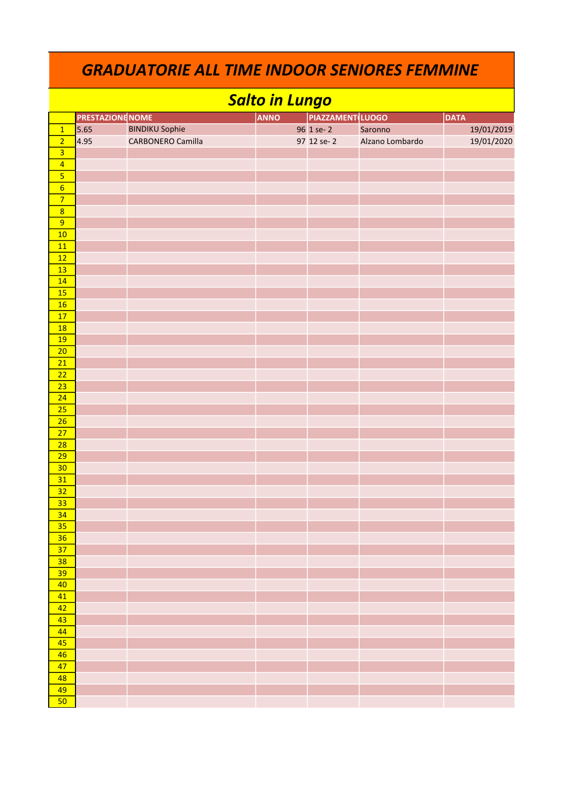|                         | <b>Salto in Lungo</b>   |                          |             |                         |                 |             |  |  |  |  |  |  |
|-------------------------|-------------------------|--------------------------|-------------|-------------------------|-----------------|-------------|--|--|--|--|--|--|
|                         | <b>PRESTAZIONE NOME</b> |                          | <b>ANNO</b> | <b>PIAZZAMENT</b> LUOGO |                 | <b>DATA</b> |  |  |  |  |  |  |
| $\overline{1}$          | 5.65                    | <b>BINDIKU Sophie</b>    |             | 96 1 se-2               | Saronno         | 19/01/2019  |  |  |  |  |  |  |
| $\overline{2}$          | 4.95                    | <b>CARBONERO Camilla</b> |             | 97 12 se-2              | Alzano Lombardo | 19/01/2020  |  |  |  |  |  |  |
| $\overline{\mathbf{3}}$ |                         |                          |             |                         |                 |             |  |  |  |  |  |  |
| $\overline{4}$          |                         |                          |             |                         |                 |             |  |  |  |  |  |  |
| $\overline{\mathbf{5}}$ |                         |                          |             |                         |                 |             |  |  |  |  |  |  |
| $\overline{6}$          |                         |                          |             |                         |                 |             |  |  |  |  |  |  |
| $\overline{7}$          |                         |                          |             |                         |                 |             |  |  |  |  |  |  |
| $\overline{8}$          |                         |                          |             |                         |                 |             |  |  |  |  |  |  |
| $\overline{9}$          |                         |                          |             |                         |                 |             |  |  |  |  |  |  |
| 10                      |                         |                          |             |                         |                 |             |  |  |  |  |  |  |
| 11                      |                         |                          |             |                         |                 |             |  |  |  |  |  |  |
| 12                      |                         |                          |             |                         |                 |             |  |  |  |  |  |  |
| 13                      |                         |                          |             |                         |                 |             |  |  |  |  |  |  |
| 14                      |                         |                          |             |                         |                 |             |  |  |  |  |  |  |
| 15                      |                         |                          |             |                         |                 |             |  |  |  |  |  |  |
| 16                      |                         |                          |             |                         |                 |             |  |  |  |  |  |  |
| $\overline{17}$         |                         |                          |             |                         |                 |             |  |  |  |  |  |  |
| $\overline{18}$         |                         |                          |             |                         |                 |             |  |  |  |  |  |  |
| 19                      |                         |                          |             |                         |                 |             |  |  |  |  |  |  |
| 20                      |                         |                          |             |                         |                 |             |  |  |  |  |  |  |
| $\overline{21}$         |                         |                          |             |                         |                 |             |  |  |  |  |  |  |
| $\overline{22}$         |                         |                          |             |                         |                 |             |  |  |  |  |  |  |
| $\overline{23}$         |                         |                          |             |                         |                 |             |  |  |  |  |  |  |
| 24                      |                         |                          |             |                         |                 |             |  |  |  |  |  |  |
| 25                      |                         |                          |             |                         |                 |             |  |  |  |  |  |  |
| 26                      |                         |                          |             |                         |                 |             |  |  |  |  |  |  |
| 27                      |                         |                          |             |                         |                 |             |  |  |  |  |  |  |
| 28                      |                         |                          |             |                         |                 |             |  |  |  |  |  |  |
| 29<br>30                |                         |                          |             |                         |                 |             |  |  |  |  |  |  |
| 31                      |                         |                          |             |                         |                 |             |  |  |  |  |  |  |
| 32                      |                         |                          |             |                         |                 |             |  |  |  |  |  |  |
| 33                      |                         |                          |             |                         |                 |             |  |  |  |  |  |  |
| 34                      |                         |                          |             |                         |                 |             |  |  |  |  |  |  |
| 35                      |                         |                          |             |                         |                 |             |  |  |  |  |  |  |
| 36                      |                         |                          |             |                         |                 |             |  |  |  |  |  |  |
| 37                      |                         |                          |             |                         |                 |             |  |  |  |  |  |  |
| 38                      |                         |                          |             |                         |                 |             |  |  |  |  |  |  |
| 39                      |                         |                          |             |                         |                 |             |  |  |  |  |  |  |
| 40                      |                         |                          |             |                         |                 |             |  |  |  |  |  |  |
| 41                      |                         |                          |             |                         |                 |             |  |  |  |  |  |  |
| 42                      |                         |                          |             |                         |                 |             |  |  |  |  |  |  |
| 43                      |                         |                          |             |                         |                 |             |  |  |  |  |  |  |
| 44                      |                         |                          |             |                         |                 |             |  |  |  |  |  |  |
| 45                      |                         |                          |             |                         |                 |             |  |  |  |  |  |  |
| 46                      |                         |                          |             |                         |                 |             |  |  |  |  |  |  |
| 47                      |                         |                          |             |                         |                 |             |  |  |  |  |  |  |
| 48                      |                         |                          |             |                         |                 |             |  |  |  |  |  |  |
| 49                      |                         |                          |             |                         |                 |             |  |  |  |  |  |  |
| 50                      |                         |                          |             |                         |                 |             |  |  |  |  |  |  |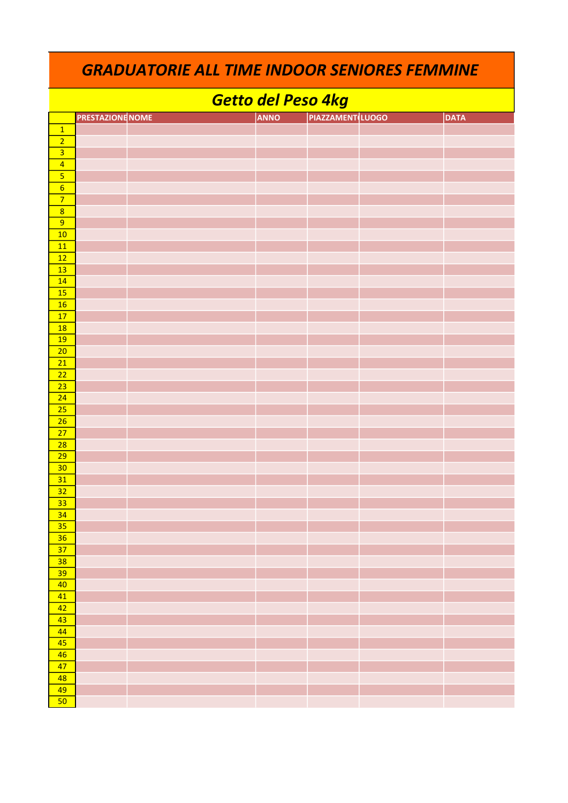| <b>GRADUATORIE ALL TIME INDOOR SENIORES FEMMINE</b> |                         |  |  |  |             |                         |  |             |
|-----------------------------------------------------|-------------------------|--|--|--|-------------|-------------------------|--|-------------|
| Getto del Peso 4kg                                  |                         |  |  |  |             |                         |  |             |
|                                                     | <b>PRESTAZIONE NOME</b> |  |  |  | <b>ANNO</b> | <b>PIAZZAMENT</b> LUOGO |  | <b>DATA</b> |
| $\overline{1}$                                      |                         |  |  |  |             |                         |  |             |
| $\overline{2}$                                      |                         |  |  |  |             |                         |  |             |
| $\overline{\overline{\mathbf{3}}}$                  |                         |  |  |  |             |                         |  |             |
| $\overline{4}$                                      |                         |  |  |  |             |                         |  |             |
|                                                     |                         |  |  |  |             |                         |  |             |
| $\overline{6}$                                      |                         |  |  |  |             |                         |  |             |
| $\overline{7}$                                      |                         |  |  |  |             |                         |  |             |
| $\overline{8}$                                      |                         |  |  |  |             |                         |  |             |
| 9                                                   |                         |  |  |  |             |                         |  |             |
| 10                                                  |                         |  |  |  |             |                         |  |             |
| 11                                                  |                         |  |  |  |             |                         |  |             |
| 12                                                  |                         |  |  |  |             |                         |  |             |
| 13                                                  |                         |  |  |  |             |                         |  |             |
| 14<br><b>15</b>                                     |                         |  |  |  |             |                         |  |             |
| 16                                                  |                         |  |  |  |             |                         |  |             |
| 17                                                  |                         |  |  |  |             |                         |  |             |
| 18                                                  |                         |  |  |  |             |                         |  |             |
| 19                                                  |                         |  |  |  |             |                         |  |             |
| 20                                                  |                         |  |  |  |             |                         |  |             |
| 21                                                  |                         |  |  |  |             |                         |  |             |
| 22                                                  |                         |  |  |  |             |                         |  |             |
| 23                                                  |                         |  |  |  |             |                         |  |             |
| 24                                                  |                         |  |  |  |             |                         |  |             |
| 25                                                  |                         |  |  |  |             |                         |  |             |
| 26                                                  |                         |  |  |  |             |                         |  |             |
| 27                                                  |                         |  |  |  |             |                         |  |             |
| 28                                                  |                         |  |  |  |             |                         |  |             |
| 29                                                  |                         |  |  |  |             |                         |  |             |
| 30                                                  |                         |  |  |  |             |                         |  |             |
| 31                                                  |                         |  |  |  |             |                         |  |             |
| 32                                                  |                         |  |  |  |             |                         |  |             |
| 33<br>34                                            |                         |  |  |  |             |                         |  |             |
| 35                                                  |                         |  |  |  |             |                         |  |             |
| 36                                                  |                         |  |  |  |             |                         |  |             |
| 37                                                  |                         |  |  |  |             |                         |  |             |
| 38                                                  |                         |  |  |  |             |                         |  |             |
| 39                                                  |                         |  |  |  |             |                         |  |             |
| 40                                                  |                         |  |  |  |             |                         |  |             |
| 41                                                  |                         |  |  |  |             |                         |  |             |
| 42                                                  |                         |  |  |  |             |                         |  |             |
| 43                                                  |                         |  |  |  |             |                         |  |             |
| 44                                                  |                         |  |  |  |             |                         |  |             |
| 45                                                  |                         |  |  |  |             |                         |  |             |
| 46                                                  |                         |  |  |  |             |                         |  |             |
| 47                                                  |                         |  |  |  |             |                         |  |             |
| 48                                                  |                         |  |  |  |             |                         |  |             |
| 49                                                  |                         |  |  |  |             |                         |  |             |
| 50                                                  |                         |  |  |  |             |                         |  |             |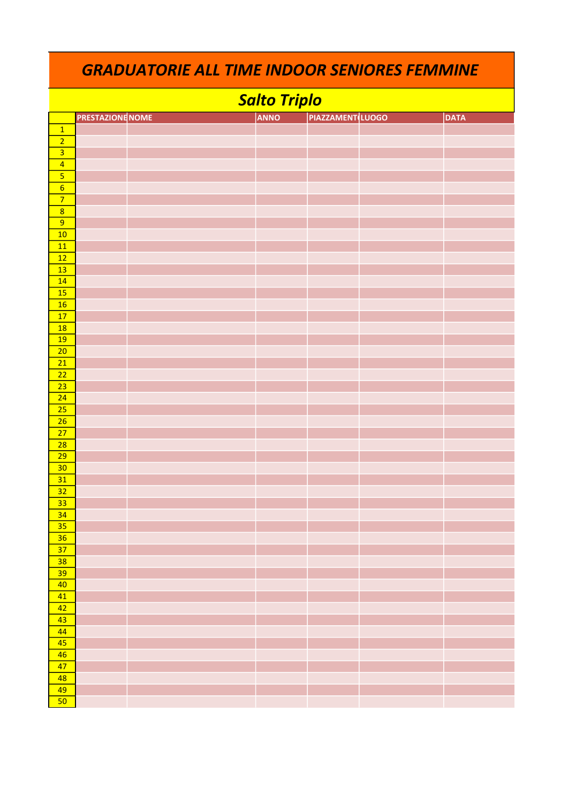| <b>GRADUATORIE ALL TIME INDOOR SENIORES FEMMINE</b> |                         |  |  |             |                         |  |             |  |
|-----------------------------------------------------|-------------------------|--|--|-------------|-------------------------|--|-------------|--|
| <b>Salto Triplo</b>                                 |                         |  |  |             |                         |  |             |  |
|                                                     | <b>PRESTAZIONE NOME</b> |  |  | <b>ANNO</b> | <b>PIAZZAMENT LUOGO</b> |  | <b>DATA</b> |  |
| $\overline{1}$                                      |                         |  |  |             |                         |  |             |  |
| $\overline{2}$                                      |                         |  |  |             |                         |  |             |  |
| $\overline{\mathbf{3}}$                             |                         |  |  |             |                         |  |             |  |
| $\overline{4}$                                      |                         |  |  |             |                         |  |             |  |
| $\overline{\mathbf{5}}$                             |                         |  |  |             |                         |  |             |  |
| $\overline{6}$                                      |                         |  |  |             |                         |  |             |  |
| $\overline{7}$                                      |                         |  |  |             |                         |  |             |  |
| $\overline{8}$                                      |                         |  |  |             |                         |  |             |  |
| 9                                                   |                         |  |  |             |                         |  |             |  |
| 10                                                  |                         |  |  |             |                         |  |             |  |
| 11                                                  |                         |  |  |             |                         |  |             |  |
| 12                                                  |                         |  |  |             |                         |  |             |  |
| 13                                                  |                         |  |  |             |                         |  |             |  |
| 14                                                  |                         |  |  |             |                         |  |             |  |
| 15<br>16                                            |                         |  |  |             |                         |  |             |  |
| 17                                                  |                         |  |  |             |                         |  |             |  |
| 18                                                  |                         |  |  |             |                         |  |             |  |
| 19                                                  |                         |  |  |             |                         |  |             |  |
| 20                                                  |                         |  |  |             |                         |  |             |  |
| 21                                                  |                         |  |  |             |                         |  |             |  |
| 22                                                  |                         |  |  |             |                         |  |             |  |
| 23                                                  |                         |  |  |             |                         |  |             |  |
| $\overline{24}$                                     |                         |  |  |             |                         |  |             |  |
| 25                                                  |                         |  |  |             |                         |  |             |  |
| 26                                                  |                         |  |  |             |                         |  |             |  |
| 27                                                  |                         |  |  |             |                         |  |             |  |
| 28                                                  |                         |  |  |             |                         |  |             |  |
| 29                                                  |                         |  |  |             |                         |  |             |  |
| 30 <sub>o</sub>                                     |                         |  |  |             |                         |  |             |  |
| 31<br>32                                            |                         |  |  |             |                         |  |             |  |
| 33                                                  |                         |  |  |             |                         |  |             |  |
| 34                                                  |                         |  |  |             |                         |  |             |  |
| 35                                                  |                         |  |  |             |                         |  |             |  |
| 36                                                  |                         |  |  |             |                         |  |             |  |
| 37                                                  |                         |  |  |             |                         |  |             |  |
| 38                                                  |                         |  |  |             |                         |  |             |  |
| 39                                                  |                         |  |  |             |                         |  |             |  |
| 40                                                  |                         |  |  |             |                         |  |             |  |
| 41                                                  |                         |  |  |             |                         |  |             |  |
| 42                                                  |                         |  |  |             |                         |  |             |  |
| 43                                                  |                         |  |  |             |                         |  |             |  |
| 44                                                  |                         |  |  |             |                         |  |             |  |
| 45                                                  |                         |  |  |             |                         |  |             |  |
| 46<br>47                                            |                         |  |  |             |                         |  |             |  |
| 48                                                  |                         |  |  |             |                         |  |             |  |
| 49                                                  |                         |  |  |             |                         |  |             |  |
| 50                                                  |                         |  |  |             |                         |  |             |  |
|                                                     |                         |  |  |             |                         |  |             |  |